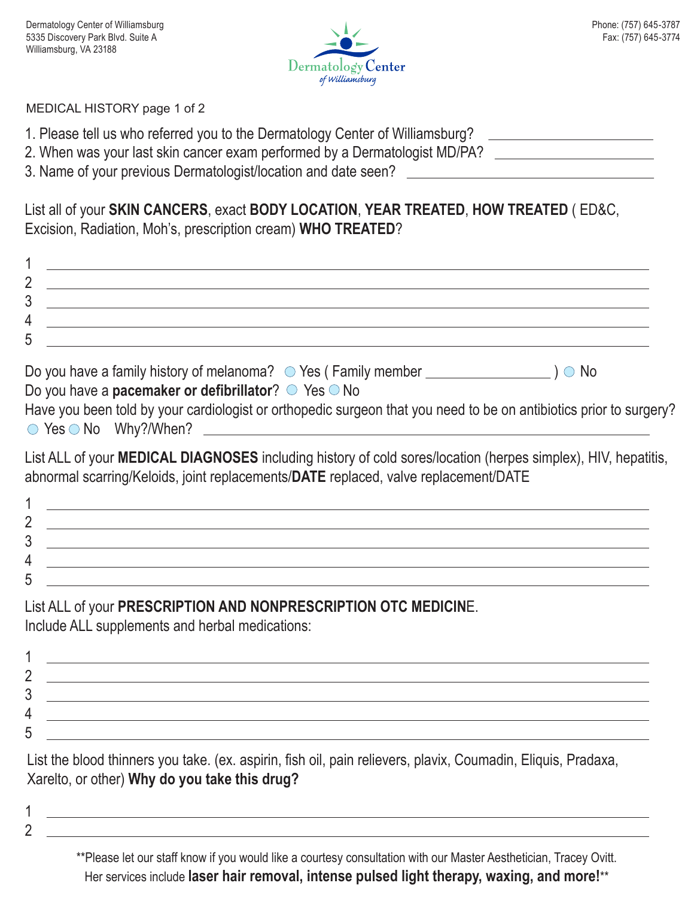

<u> 1989 - Johann Barbara, martxa alemaniar a</u>

#### MEDICAL HISTORY page 1 of 2

- 1. Please tell us who referred you to the Dermatology Center of Williamsburg?
- 2. When was your last skin cancer exam performed by a Dermatologist MD/PA?
- 3. Name of your previous Dermatologist/location and date seen?

List all of your **SKIN CANCERS**, exact **BODY LOCATION**, **YEAR TREATED**, **HOW TREATED** ( ED&C, Excision, Radiation, Moh's, prescription cream) **WHO TREATED**?

| д |  |
|---|--|
| n |  |

| Do you have a family history of melanoma? $\circ$ Yes (Family member     | $\cup$ No |
|--------------------------------------------------------------------------|-----------|
| Do you have a <b>pacemaker or defibrillator</b> ? $\circ$ Yes $\circ$ No |           |

| Have you been told by your cardiologist or orthopedic surgeon that you need to be on antibiotics prior to surgery? |  |  |  |
|--------------------------------------------------------------------------------------------------------------------|--|--|--|
| $\circ$ Yes $\circ$ No Why?/When?                                                                                  |  |  |  |

List ALL of your **MEDICAL DIAGNOSES** including history of cold sores/location (herpes simplex), HIV, hepatitis, abnormal scarring/Keloids, joint replacements/**DATE** replaced, valve replacement/DATE

# List ALL of your **PRESCRIPTION AND NONPRESCRIPTION OTC MEDICIN**E.

Include ALL supplements and herbal medications:

List the blood thinners you take. (ex. aspirin, fish oil, pain relievers, plavix, Coumadin, Eliquis, Pradaxa, Xarelto, or other) **Why do you take this drug?**

- 1
- 2

\*\*Please let our staff know if you would like a courtesy consultation with our Master Aesthetician, Tracey Ovitt. Her services include **laser hair removal, intense pulsed light therapy, waxing, and more!**\*\*